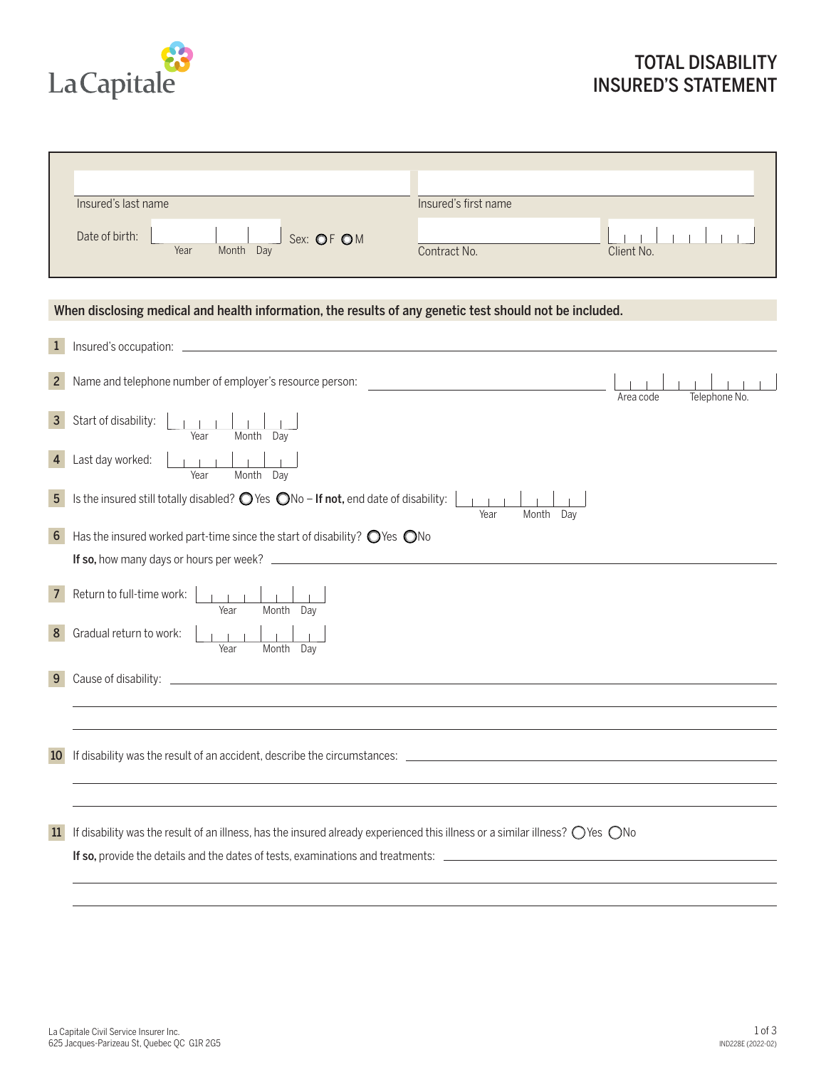

|                | Insured's last name                                                                                                                             | Insured's first name                          |                            |  |  |
|----------------|-------------------------------------------------------------------------------------------------------------------------------------------------|-----------------------------------------------|----------------------------|--|--|
|                |                                                                                                                                                 |                                               |                            |  |  |
|                | Date of birth:<br>Sex: OF OM                                                                                                                    |                                               |                            |  |  |
|                | Year<br>Month Day                                                                                                                               | Contract No.                                  | Client No.                 |  |  |
|                |                                                                                                                                                 |                                               |                            |  |  |
|                |                                                                                                                                                 |                                               |                            |  |  |
|                | When disclosing medical and health information, the results of any genetic test should not be included.                                         |                                               |                            |  |  |
|                |                                                                                                                                                 |                                               |                            |  |  |
| $\mathbf{1}$   |                                                                                                                                                 |                                               |                            |  |  |
|                |                                                                                                                                                 |                                               |                            |  |  |
| 2 <sup>2</sup> | Name and telephone number of employer's resource person:                                                                                        | <u> 1980 - Jan Barbara Barbara, maso a se</u> |                            |  |  |
|                |                                                                                                                                                 |                                               | Telephone No.<br>Area code |  |  |
| 3 <sup>1</sup> | Start of disability:                                                                                                                            |                                               |                            |  |  |
|                | Month Day<br>Year                                                                                                                               |                                               |                            |  |  |
| 4              | Last day worked:                                                                                                                                |                                               |                            |  |  |
|                | Month Day<br>Year                                                                                                                               |                                               |                            |  |  |
|                |                                                                                                                                                 |                                               |                            |  |  |
| 5 <sup>5</sup> | Is the insured still totally disabled? $\bigcirc$ Yes $\bigcirc$ No - If not, end date of disability:                                           | Year<br>Month<br>Day                          |                            |  |  |
|                |                                                                                                                                                 |                                               |                            |  |  |
| 6 <sup>1</sup> | Has the insured worked part-time since the start of disability? $\bigcirc$ Yes $\bigcirc$ No                                                    |                                               |                            |  |  |
|                |                                                                                                                                                 |                                               |                            |  |  |
|                |                                                                                                                                                 |                                               |                            |  |  |
| $7^{\circ}$    | Return to full-time work:                                                                                                                       |                                               |                            |  |  |
|                | Month Day<br>Year                                                                                                                               |                                               |                            |  |  |
| 8              | Gradual return to work:                                                                                                                         |                                               |                            |  |  |
|                | Year<br>Month Day                                                                                                                               |                                               |                            |  |  |
| 9              |                                                                                                                                                 |                                               |                            |  |  |
|                |                                                                                                                                                 |                                               |                            |  |  |
|                |                                                                                                                                                 |                                               |                            |  |  |
|                |                                                                                                                                                 |                                               |                            |  |  |
|                |                                                                                                                                                 |                                               |                            |  |  |
|                | 10 If disability was the result of an accident, describe the circumstances:                                                                     |                                               |                            |  |  |
|                |                                                                                                                                                 |                                               |                            |  |  |
|                |                                                                                                                                                 |                                               |                            |  |  |
|                |                                                                                                                                                 |                                               |                            |  |  |
| 11             | If disability was the result of an illness, has the insured already experienced this illness or a similar illness? $\bigcirc$ Yes $\bigcirc$ No |                                               |                            |  |  |
|                | If so, provide the details and the dates of tests, examinations and treatments:                                                                 |                                               |                            |  |  |
|                |                                                                                                                                                 |                                               |                            |  |  |
|                |                                                                                                                                                 |                                               |                            |  |  |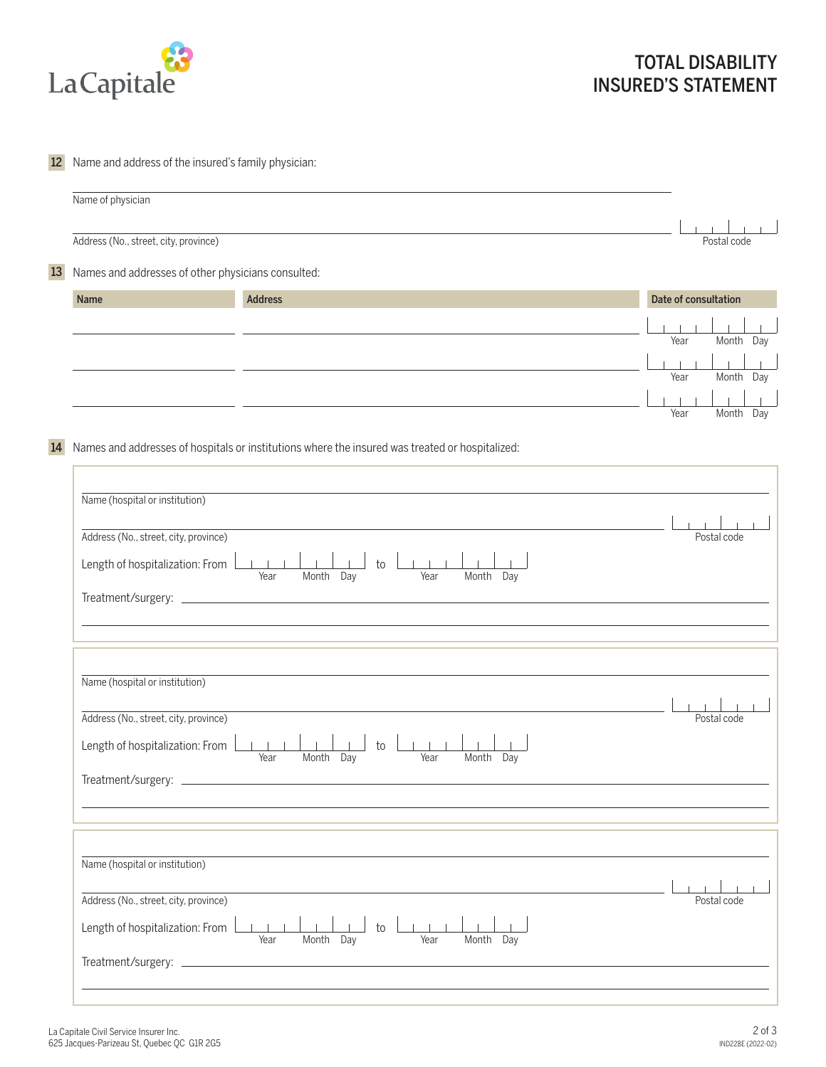

## 12 Name and address of the insured's family physician:

|    | Name of physician                                  |                |                      |
|----|----------------------------------------------------|----------------|----------------------|
|    | Address (No., street, city, province)              |                | Postal code          |
| 13 | Names and addresses of other physicians consulted: |                |                      |
|    | Name                                               | <b>Address</b> | Date of consultation |
|    |                                                    |                | Month<br>Year<br>Day |
|    |                                                    |                | Month<br>Year<br>Day |
|    |                                                    |                | Year<br>Month<br>Day |

14 Names and addresses of hospitals or institutions where the insured was treated or hospitalized:

| Name (hospital or institution)<br>Address (No., street, city, province)<br>$\sim 1-1-1$ .<br>$\mathbf{1}$ and $\mathbf{1}$ and $\mathbf{1}$<br>Length of hospitalization: From<br>to<br>Month Day<br>Month Day<br>Year<br>Year | Postal code |
|--------------------------------------------------------------------------------------------------------------------------------------------------------------------------------------------------------------------------------|-------------|
| Name (hospital or institution)<br>Address (No., street, city, province)<br>$-1 - 1 - 1$<br>Length of hospitalization: From<br>to<br>Month Day<br>Month Day<br>Year<br>Year                                                     | Postal code |
| Name (hospital or institution)<br>Address (No., street, city, province)<br>$\sim 1-1$ .<br>Length of hospitalization: From<br>to<br>Month Day<br>Month Day<br>Year<br>Year                                                     | Postal code |